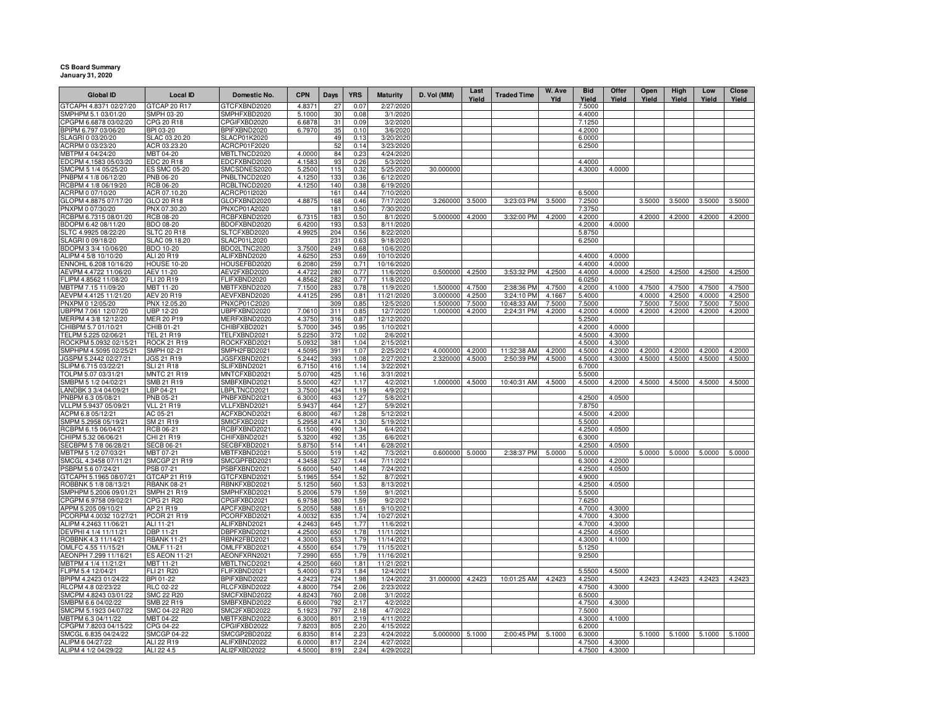## **CS Board SummaryJanuary 31, 2020**

| <b>Global ID</b>                             | <b>Local ID</b>                   | Domestic No.                 | <b>CPN</b>       | Days              | <b>YRS</b>   | <b>Maturity</b>          | D. Vol (MM)     | Last<br>Yield | <b>Traded Time</b> | W. Ave<br>Yld | <b>Bid</b><br>Yield | Offer<br>Yield   | Open<br>Yield | High<br>Yield | Low<br>Yield | Close<br>Yield |
|----------------------------------------------|-----------------------------------|------------------------------|------------------|-------------------|--------------|--------------------------|-----------------|---------------|--------------------|---------------|---------------------|------------------|---------------|---------------|--------------|----------------|
| GTCAPH 4.8371 02/27/20                       | GTCAP 20 R17                      | GTCFXBND2020                 | 4.8371           | 27                | 0.07         | 2/27/2020                |                 |               |                    |               | 7.5000              |                  |               |               |              |                |
| SMPHPM 5.1 03/01/20                          | SMPH 03-20                        | SMPHFXBD2020                 | 5.1000           | 30                | 0.08         | 3/1/2020                 |                 |               |                    |               | 4.4000              |                  |               |               |              |                |
| CPGPM 6.6878 03/02/20                        | CPG 20 R18                        | CPGIFXBD2020                 | 6.6878           | 31                | 0.09         | 3/2/2020                 |                 |               |                    |               | 7.1250              |                  |               |               |              |                |
| BPIPM 6.797 03/06/20                         | BPI 03-20                         | BPIFXBND2020                 | 6.7970           | 35                | 0.10         | 3/6/2020                 |                 |               |                    |               | 4.2000              |                  |               |               |              |                |
| SLAGRI 0 03/20/20                            | SLAC 03.20.20                     | SLACP01K2020                 |                  | 49                | 0.13         | 3/20/2020                |                 |               |                    |               | 6.0000              |                  |               |               |              |                |
| ACRPM 0 03/23/20                             | ACR 03.23.20                      | ACRCP01F2020                 |                  | 52                | 0.14         | 3/23/2020                |                 |               |                    |               | 6.2500              |                  |               |               |              |                |
| MBTPM 4 04/24/20                             | MBT 04-20                         | MBTLTNCD2020                 | 4.0000           | 84                | 0.23         | 4/24/2020                |                 |               |                    |               |                     |                  |               |               |              |                |
| EDCPM 4.1583 05/03/20                        | EDC 20 R18                        | EDCFXBND2020                 | 4.1583           | 93                | 0.26         | 5/3/2020                 |                 |               |                    |               | 4.4000              |                  |               |               |              |                |
| SMCPM 5 1/4 05/25/20                         | <b>ES SMC 05-20</b>               | SMCSDNES2020                 | 5.2500           | 115               | 0.32         | 5/25/2020                | 30,000000       |               |                    |               | 4.3000              | 4.0000           |               |               |              |                |
| PNBPM 4 1/8 06/12/20<br>RCBPM 4 1/8 06/19/20 | PNB 06-20<br>RCB 06-20            | PNBLTNCD2020<br>RCBLTNCD2020 | 4.1250<br>4.1250 | 133<br>140        | 0.36<br>0.38 | 6/12/2020<br>6/19/2020   |                 |               |                    |               |                     |                  |               |               |              |                |
| ACRPM 0 07/10/20                             | ACR 07.10.20                      | ACRCP01I2020                 |                  | 161               | 0.44         | 7/10/2020                |                 |               |                    |               | 6.5000              |                  |               |               |              |                |
| GLOPM 4.8875 07/17/20                        | GLO 20 R18                        | GLOFXBND2020                 | 4.8875           | 168               | 0.46         | 7/17/2020                | 3.260000        | 3.5000        | 3:23:03 PM         | 3.5000        | 7.2500              |                  | 3.5000        | 3.5000        | 3.5000       | 3.5000         |
| PNXPM 0 07/30/20                             | PNX 07.30.20                      | PNXCP01A2020                 |                  | 181               | 0.50         | 7/30/2020                |                 |               |                    |               | 7.3750              |                  |               |               |              |                |
| RCBPM 6.7315 08/01/20                        | <b>RCB 08-20</b>                  | RCBFXBND2020                 | 6.7315           | 183               | 0.50         | 8/1/2020                 | 5.000000        | 4.2000        | 3:32:00 PM         | 4.2000        | 4.2000              |                  | 4.2000        | 4.2000        | 4.2000       | 4.2000         |
| BDOPM 6.42 08/11/20                          | <b>BDO 08-20</b>                  | BDOFXBND2020                 | 6.4200           | 193               | 0.53         | 8/11/2020                |                 |               |                    |               | 4.2000              | 4.0000           |               |               |              |                |
| SLTC 4.9925 08/22/20                         | <b>SLTC 20 R18</b>                | SLTCFXBD2020                 | 4.9925           | 204               | 0.56         | 8/22/2020                |                 |               |                    |               | 5.8750              |                  |               |               |              |                |
| SLAGRI 0 09/18/20                            | SLAC 09.18.20                     | SLACP01L2020                 |                  | 231               | 0.63         | 9/18/2020                |                 |               |                    |               | 6.2500              |                  |               |               |              |                |
| BDOPM 3 3/4 10/06/20                         | BDO 10-20                         | BDO2LTNC2020                 | 3.7500           | 249               | 0.68         | 10/6/2020                |                 |               |                    |               |                     |                  |               |               |              |                |
| ALIPM 4 5/8 10/10/20                         | ALI 20 R19                        | ALIFXBND2020                 | 4.6250           | 253               | 0.69         | 10/10/2020               |                 |               |                    |               | 4.4000              | 4.0000           |               |               |              |                |
| ENNOHL 6.208 10/16/20                        | <b>HOUSE 10-20</b>                | HOUSEFBD2020                 | 6.2080           | 259               | 0.71         | 10/16/2020               |                 |               |                    |               | 4.4000              | 4.0000           |               |               |              |                |
| AEVPM 4.4722 11/06/20                        | <b>AEV 11-20</b>                  | AEV2FXBD2020                 | 4.4722           | 280<br>282        | 0.77<br>0.77 | 11/6/2020                | 0.500000        | 4.2500        | 3:53:32 PM         | 4.2500        | 4.4000              | 4.0000           | 4.2500        | 4.2500        | 4.2500       | 4.2500         |
| FLIPM 4.8562 11/08/20<br>MBTPM 7.15 11/09/20 | FLI 20 R19<br>MBT 11-20           | FLIFXBND2020<br>MBTFXBND2020 | 4.8562<br>7.1500 | 283               | 0.78         | 11/8/2020<br>11/9/2020   | 1.500000        | 4.7500        | 2:38:36 PM         | 4.7500        | 6.0250<br>4.2000    | 4.1000           | 4.7500        | 4.7500        | 4.7500       | 4.7500         |
| AEVPM 4.4125 11/21/20                        | AEV 20 R19                        | AEVFXBND2020                 | 4.4125           | 295               | 0.81         | 11/21/2020               | 3.000000        | 4.2500        | 3:24:10 PM         | 4.1667        | 5.4000              |                  | 4.0000        | 4.2500        | 4.0000       | 4.2500         |
| PNXPM 0 12/05/20                             | PNX 12.05.20                      | <b>PNXCP01C2020</b>          |                  | 309               | 0.85         | 12/5/2020                | 1.500000        | 7.5000        | 10:48:33 AM        | 7.5000        | 7.5000              |                  | 7.5000        | 7.5000        | 7.5000       | 7.5000         |
| JBPPM 7.061 12/07/20                         | UBP 12-20                         | UBPFXBND2020                 | 7.0610           | 311               | 0.85         | 12/7/2020                | 1.000000        | 4.2000        | 2:24:31 PM         | 4.2000        | 4.2000              | 4.0000           | 4.2000        | 4.2000        | 4.2000       | 4.2000         |
| MERPM 4 3/8 12/12/20                         | MER 20 P19                        | MERFXBND2020                 | 4.3750           | 316               | 0.87         | 12/12/2020               |                 |               |                    |               | 5.2500              |                  |               |               |              |                |
| CHIBPM 5.7 01/10/21                          | CHIB 01-21                        | CHIBFXBD2021                 | 5.7000           | 345               | 0.95         | 1/10/2021                |                 |               |                    |               | 4.2000              | 4.0000           |               |               |              |                |
| TELPM 5.225 02/06/21                         | TEL 21 R19                        | TELFXBND2021                 | 5.2250           | 372               | 1.02         | 2/6/2021                 |                 |               |                    |               | 4.5000              | 4.3000           |               |               |              |                |
| ROCKPM 5.0932 02/15/2                        | ROCK 21 R19                       | ROCKFXBD2021                 | 5.0932           | 381               | 1.04         | 2/15/2021                |                 |               |                    |               | 4.5000              | 4.3000           |               |               |              |                |
| SMPHPM 4.5095 02/25/21                       | SMPH 02-21                        | SMPH2FBD2021                 | 4.5095           | 391               | 1.07         | 2/25/2021                | 4.000000        | 4.2000        | 11:32:38 AM        | 4.2000        | 4.5000              | 4.2000           | 4.2000        | 4.2000        | 4.2000       | 4.2000         |
| JGSPM 5.2442 02/27/21                        | <b>JGS 21 R19</b>                 | JGSFXBND2021                 | 5.2442           | 393               | 1.08         | 2/27/2021                | 2.320000        | 4.5000        | 2:50:39 PM         | 4.5000        | 4.5000              | 4.3000           | 4.5000        | 4.5000        | 4.5000       | 4.5000         |
| SLIPM 6.715 03/22/21                         | SLI 21 R18                        | SLIFXBND2021                 | 6.7150           | 416               | 1.14         | 3/22/2021                |                 |               |                    |               | 6.7000              |                  |               |               |              |                |
| TOLPM 5.07 03/31/21<br>SMBPM 5 1/2 04/02/21  | <b>MNTC 21 R19</b><br>SMB 21 R19  | MNTCFXBD2021<br>SMBFXBND2021 | 5.0700<br>5.5000 | 425<br>427        | 1.16<br>1.17 | 3/31/2021<br>4/2/2021    | 1.000000        | 4.5000        | 10:40:31 AM        | 4.5000        | 5.5000<br>4.5000    | 4.2000           | 4.5000        | 4.5000        | 4.5000       | 4.5000         |
| LANDBK 3 3/4 04/09/21                        | LBP 04-21                         | LBPLTNCD2021                 | 3.7500           | 434               | 1.19         | 4/9/2021                 |                 |               |                    |               |                     |                  |               |               |              |                |
| PNBPM 6.3 05/08/21                           | PNB 05-21                         | PNBFXBND2021                 | 6.3000           | 463               | 1.27         | 5/8/2021                 |                 |               |                    |               | 4.2500              | 4.0500           |               |               |              |                |
| VLLPM 5.9437 05/09/21                        | <b>VLL 21 R19</b>                 | VLLFXBND2021                 | 5.9437           | 464               | 1.27         | 5/9/2021                 |                 |               |                    |               | 7.8750              |                  |               |               |              |                |
| ACPM 6.8 05/12/21                            | AC 05-21                          | ACFXBOND2021                 | 6.8000           | 467               | 1.28         | 5/12/2021                |                 |               |                    |               | 4.5000              | 4.2000           |               |               |              |                |
| SMPM 5.2958 05/19/21                         | SM 21 R19                         | SMICFXBD2021                 | 5.2958           | 474               | 1.30         | 5/19/2021                |                 |               |                    |               | 5.5000              |                  |               |               |              |                |
| RCBPM 6.15 06/04/21                          | RCB 06-21                         | RCBFXBND2021                 | 6.1500           | 490               | 1.34         | 6/4/2021                 |                 |               |                    |               | 4.2500              | 4.0500           |               |               |              |                |
| CHIPM 5.32 06/06/21                          | CHI 21 R19                        | CHIFXBND2021                 | 5.3200           | 492               | 1.35         | 6/6/2021                 |                 |               |                    |               | 6.3000              |                  |               |               |              |                |
| SECBPM 5 7/8 06/28/21                        | <b>SECB 06-21</b>                 | SECBFXBD2021                 | 5.8750           | 514               | 1.41         | 6/28/2021                |                 |               |                    |               | 4.2500              | 4.0500           |               |               |              |                |
| MBTPM 5 1/2 07/03/21                         | MBT 07-21                         | MBTFXBND2021                 | 5.5000           | 519               | 1.42         | 7/3/2021                 | 0.600000 5.0000 |               | 2:38:37 PM         | 5.0000        | 5.0000              |                  | 5.0000        | 5.0000        | 5.0000       | 5.0000         |
| SMCGL 4.3458 07/11/21<br>PSBPM 5.6 07/24/21  | <b>SMCGP 21 R19</b><br>PSB 07-21  | SMCGPFBD2021<br>PSBFXBND2021 | 4.3458<br>5.6000 | 527<br>540        | 1.44<br>1.48 | 7/11/2021<br>7/24/2021   |                 |               |                    |               | 6.3000<br>4.2500    | 4.2000<br>4.0500 |               |               |              |                |
| GTCAPH 5.1965 08/07/21                       | GTCAP 21 R19                      | GTCFXBND2021                 | 5.1965           | 554               | 1.52         | 8/7/2021                 |                 |               |                    |               | 4.9000              |                  |               |               |              |                |
| ROBBNK 5 1/8 08/13/21                        | <b>RBANK 08-21</b>                | RBNKFXBD2021                 | 5.1250           | 560               | 1.53         | 8/13/2021                |                 |               |                    |               | 4.2500              | 4.0500           |               |               |              |                |
| SMPHPM 5.2006 09/01/21                       | SMPH 21 R19                       | SMPHFXBD2021                 | 5.2006           | 579               | 1.59         | 9/1/2021                 |                 |               |                    |               | 5.5000              |                  |               |               |              |                |
| CPGPM 6.9758 09/02/21                        | CPG 21 R20                        | CPGIFXBD2021                 | 6.9758           | 580               | 1.59         | 9/2/2021                 |                 |               |                    |               | 7.6250              |                  |               |               |              |                |
| APPM 5.205 09/10/21                          | AP 21 R19                         | APCFXBND2021                 | 5.2050           | 588               | 1.61         | 9/10/2021                |                 |               |                    |               | 4.7000              | 4.3000           |               |               |              |                |
| PCORPM 4.0032 10/27/21                       | PCOR 21 R19                       | PCORFXBD2021                 | 4.0032           | 635               | 1.74         | 10/27/2021               |                 |               |                    |               | 4.7000              | 4.3000           |               |               |              |                |
| ALIPM 4.2463 11/06/21                        | ALI 11-21                         | ALIFXBND2021                 | 4.2463           | 645               | 1.77         | 11/6/2021                |                 |               |                    |               | 4.7000              | 4.3000           |               |               |              |                |
| DEVPHI 4 1/4 11/11/21                        | DBP 11-21                         | DBPFXBND2021                 | 4.2500           | 650               | 1.78         | 11/11/2021               |                 |               |                    |               | 4.2500              | 4.0500           |               |               |              |                |
| ROBBNK 4.3 11/14/21                          | <b>RBANK 11-21</b>                | RBNK2FBD2021                 | 4.3000           | 653               | 1.79         | 11/14/2021               |                 |               |                    |               | 4.3000              | 4.1000           |               |               |              |                |
| OMLFC 4.55 11/15/21                          | OMLF 11-21                        | OMLFFXBD2021                 | 4.5500           | 654               | 1.79         | 11/15/2021               |                 |               |                    |               | 5.1250              |                  |               |               |              |                |
| AEONPH 7.299 11/16/2<br>MBTPM 4 1/4 11/21/21 | <b>ES AEON 11-21</b><br>MBT 11-21 | AEONFXRN2021<br>MBTLTNCD2021 | 7.2990<br>4.2500 | 655<br><b>660</b> | 1.79<br>1.81 | 11/16/2021<br>11/21/2021 |                 |               |                    |               | 9.2500              |                  |               |               |              |                |
| FLIPM 5.4 12/04/21                           | FLI 21 R20                        | FLIFXBND2021                 | 5.4000           | 673               | 1.84         | 12/4/2021                |                 |               |                    |               | 5.5500              | 4.5000           |               |               |              |                |
| BPIPM 4.2423 01/24/22                        | BPI 01-22                         | BPIFXBND2022                 | 4.2423           | 724               | 1.98         | 1/24/2022                | 31.000000       | 4.2423        | 10:01:25 AM        | 4.2423        | 4.2500              |                  | 4.2423        | 4.2423        | 4.2423       | 4.2423         |
| RLCPM 4.8 02/23/22                           | RLC 02-22                         | RLCFXBND2022                 | 4.8000           | 754               | 2.06         | 2/23/2022                |                 |               |                    |               | 4.7500              | 4.3000           |               |               |              |                |
| SMCPM 4.8243 03/01/22                        | <b>SMC 22 R20</b>                 | SMCFXBND2022                 | 4.8243           | 760               | 2.08         | 3/1/2022                 |                 |               |                    |               | 6.5000              |                  |               |               |              |                |
| SMBPM 6.6 04/02/22                           | SMB 22 R19                        | SMBFXBND2022                 | 6.6000           | 792               | 2.17         | 4/2/2022                 |                 |               |                    |               | 4.7500              | 4.3000           |               |               |              |                |
| SMCPM 5.1923 04/07/22                        | SMC 04-22 R20                     | SMC2FXBD2022                 | 5.1923           | 797               | 2.18         | 4/7/2022                 |                 |               |                    |               | 7.5000              |                  |               |               |              |                |
| MBTPM 6.3 04/11/22                           | MBT 04-22                         | MBTFXBND2022                 | 6.3000           | 801               | 2.19         | 4/11/2022                |                 |               |                    |               | 4.3000              | 4.1000           |               |               |              |                |
| CPGPM 7.8203 04/15/22                        | CPG 04-22                         | CPGIFXBD2022                 | 7.8203           | 805               | 2.20         | 4/15/2022                |                 |               |                    |               | 6.2000              |                  |               |               |              |                |
| SMCGL 6.835 04/24/22                         | <b>SMCGP 04-22</b>                | SMCGP2BD2022                 | 6.8350           | 814               | 2.23         | 4/24/2022                | 5.000000 5.1000 |               | 2:00:45 PM         | 5.1000        | 6.3000              |                  | 5.1000        | 5.1000        | 5.1000       | 5.1000         |
| ALIPM 6 04/27/22                             | ALI 22 R19                        | ALIFXBND2022                 | 6.0000           | 817               | 2.24         | 4/27/2022                |                 |               |                    |               | 4.7500              | 4.3000           |               |               |              |                |
| ALIPM 4 1/2 04/29/22                         | ALI 22 4.5                        | ALI2FXBD2022                 | 4.5000           | 819               | 2.24         | 4/29/2022                |                 |               |                    |               | 4.7500              | 4.3000           |               |               |              |                |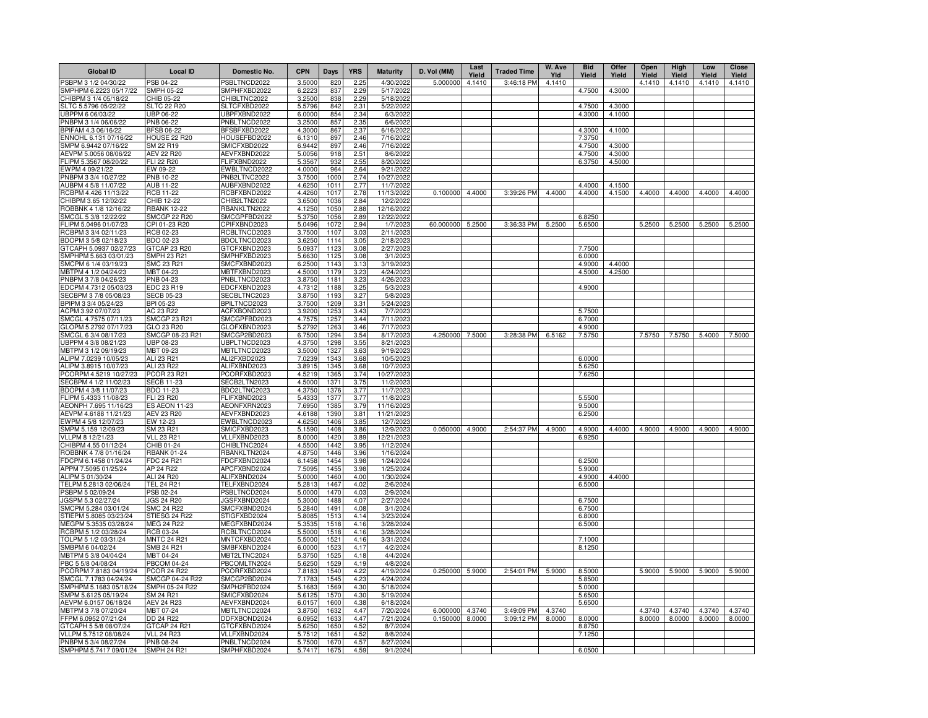| <b>Global ID</b>                                | <b>Local ID</b>                    | Domestic No.                 | <b>CPN</b>       | Days         | <b>YRS</b>   | <b>Maturity</b>         | D. Vol (MM)     | Last<br>Yield | <b>Traded Time</b> | W. Ave<br>Yld | <b>Bid</b><br>Yield | Offer<br>Yield | Open<br>Yield | High<br>Yield | Low<br>Yield | Close<br>Yield |
|-------------------------------------------------|------------------------------------|------------------------------|------------------|--------------|--------------|-------------------------|-----------------|---------------|--------------------|---------------|---------------------|----------------|---------------|---------------|--------------|----------------|
| PSBPM 3 1/2 04/30/22                            | PSB 04-22                          | PSBLTNCD2022                 | 3.5000           | 820          | 2.25         | 4/30/2022               | 5.000000        | 4.1410        | 3:46:18 PM         | 4.1410        |                     |                | 4.1410        | 4.1410        | 4.1410       | 4.1410         |
| SMPHPM 6.2223 05/17/22                          | SMPH 05-22                         | SMPHFXBD2022                 | 6.2223           | 837          | 2.29         | 5/17/2022               |                 |               |                    |               | 4.7500              | 4.3000         |               |               |              |                |
| CHIBPM 3 1/4 05/18/22                           | CHIB 05-22                         | CHIBLTNC2022                 | 3.2500           | 838          | 2.29         | 5/18/2022               |                 |               |                    |               |                     |                |               |               |              |                |
| SLTC 5.5796 05/22/22                            | <b>SLTC 22 R20</b>                 | SLTCFXBD2022                 | 5.5796           | 842          | 2.31         | 5/22/2022               |                 |               |                    |               | 4.7500              | 4.3000         |               |               |              |                |
| UBPPM 6 06/03/22<br>PNBPM 3 1/4 06/06/22        | UBP 06-22<br>PNB 06-22             | UBPFXBND2022<br>PNBLTNCD2022 | 6.0000<br>3.2500 | 854<br>857   | 2.34<br>2.35 | 6/3/2022<br>6/6/2022    |                 |               |                    |               | 4.3000              | 4.1000         |               |               |              |                |
| BPIFAM 4.3 06/16/22                             | <b>BFSB 06-22</b>                  | BFSBFXBD2022                 | 4.3000           | 867          | 2.37         | 6/16/2022               |                 |               |                    |               | 4.3000              | 4.1000         |               |               |              |                |
| ENNOHL 6.131 07/16/22                           | <b>HOUSE 22 R20</b>                | HOUSEFBD2022                 | 6.1310           | 897          | 2.46         | 7/16/2022               |                 |               |                    |               | 7.3750              |                |               |               |              |                |
| SMPM 6.9442 07/16/22                            | SM 22 R19                          | SMICFXBD2022                 | 6.9442           | 897          | 2.46         | 7/16/2022               |                 |               |                    |               | 4.7500              | 4.3000         |               |               |              |                |
| AEVPM 5.0056 08/06/22                           | <b>AEV 22 R20</b>                  | AEVFXBND2022                 | 5.0056           | 918          | 2.51         | 8/6/2022                |                 |               |                    |               | 4.7500              | 4.3000         |               |               |              |                |
| FLIPM 5.3567 08/20/22                           | FLI 22 R20                         | FLIFXBND2022                 | 5.3567           | 932          | 2.55         | 8/20/2022               |                 |               |                    |               | 6.3750              | 4.5000         |               |               |              |                |
| EWPM 4 09/21/22                                 | EW 09-22                           | EWBLTNCD2022                 | 4.0000           | 964          | 2.64         | 9/21/2022               |                 |               |                    |               |                     |                |               |               |              |                |
| PNBPM 3 3/4 10/27/22                            | PNB 10-22<br>AUB 11-22             | PNB2LTNC2022<br>AUBFXBND2022 | 3.7500<br>4.6250 | 1000<br>1011 | 2.74<br>2.77 | 10/27/2022<br>11/7/2022 |                 |               |                    |               | 4.4000              | 4.1500         |               |               |              |                |
| AUBPM 4 5/8 11/07/22<br>RCBPM 4.426 11/13/22    | <b>RCB 11-22</b>                   | RCBFXBND2022                 | 4.4260           | 1017         | 2.78         | 11/13/2022              | 0.100000        | 4.4000        | 3:39:26 PM         | 4.4000        | 4.4000              | 4.1500         | 4.4000        | 4.4000        | 4.4000       | 4.4000         |
| CHIBPM 3.65 12/02/22                            | CHIB 12-22                         | CHIB2LTN2022                 | 3.6500           | 1036         | 2.84         | 12/2/2022               |                 |               |                    |               |                     |                |               |               |              |                |
| ROBBNK 4 1/8 12/16/22                           | <b>RBANK 12-22</b>                 | RBANKLTN2022                 | 4.1250           | 1050         | 2.88         | 12/16/2022              |                 |               |                    |               |                     |                |               |               |              |                |
| SMCGL 5 3/8 12/22/22                            | <b>SMCGP 22 R20</b>                | SMCGPFBD2022                 | 5.3750           | 1056         | 2.89         | 12/22/2022              |                 |               |                    |               | 6.8250              |                |               |               |              |                |
| LIPM 5.0496 01/07/23                            | CPI 01-23 R20                      | CPIFXBND2023                 | 5.0496           | 1072         | 2.94         | 1/7/2023                | 60.000000       | 5.2500        | 3:36:33 PM         | 5.2500        | 5.6500              |                | 5.2500        | 5.2500        | 5.2500       | 5.2500         |
| RCBPM 3 3/4 02/11/23                            | RCB 02-23                          | RCBLTNCD2023                 | 3.7500           | 1107         | 3.03         | 2/11/2023               |                 |               |                    |               |                     |                |               |               |              |                |
| BDOPM 3 5/8 02/18/23                            | BDO 02-23                          | BDOLTNCD2023                 | 3.6250           | 1114         | 3.05         | 2/18/2023               |                 |               |                    |               |                     |                |               |               |              |                |
| GTCAPH 5.0937 02/27/23<br>SMPHPM 5.663 03/01/23 | GTCAP 23 R20<br>SMPH 23 R21        | GTCFXBND2023<br>SMPHFXBD2023 | 5.0937<br>5.6630 | 1123<br>1125 | 3.08<br>3.08 | 2/27/2023<br>3/1/2023   |                 |               |                    |               | 7.7500<br>6.0000    |                |               |               |              |                |
| SMCPM 6 1/4 03/19/23                            | SMC 23 R21                         | SMCFXBND2023                 | 6.2500           | 1143         | 3.13         | 3/19/2023               |                 |               |                    |               | 4.9000              | 4.4000         |               |               |              |                |
| MBTPM 4 1/2 04/24/23                            | MBT 04-23                          | MBTFXBND2023                 | 4.5000           | 1179         | 3.23         | 4/24/2023               |                 |               |                    |               | 4.5000              | 4.2500         |               |               |              |                |
| PNBPM 3 7/8 04/26/23                            | PNB 04-23                          | PNBLTNCD2023                 | 3.8750           | 1181         | 3.23         | 4/26/2023               |                 |               |                    |               |                     |                |               |               |              |                |
| DCPM 4.7312 05/03/23                            | EDC 23 R19                         | EDCFXBND2023                 | 4.7312           | 1188         | 3.25         | 5/3/2023                |                 |               |                    |               | 4.9000              |                |               |               |              |                |
| ECBPM 3 7/8 05/08/23                            | <b>SECB 05-23</b>                  | SECBLTNC2023                 | 3.8750           | 1193         | 3.27         | 5/8/2023                |                 |               |                    |               |                     |                |               |               |              |                |
| BPIPM 3 3/4 05/24/23                            | BPI 05-23                          | BPILTNCD2023                 | 3.7500           | 1209         | 3.31         | 5/24/2023               |                 |               |                    |               |                     |                |               |               |              |                |
| ACPM 3.92 07/07/23                              | AC 23 R22                          | ACFXBOND2023                 | 3.9200           | 125          | 3.43         | 7/7/2023                |                 |               |                    |               | 5.7500              |                |               |               |              |                |
| SMCGL 4.7575 07/11/23                           | <b>SMCGP 23 R21</b>                | SMCGPFBD2023                 | 4.757            | 125          | 3.44         | 7/11/2023               |                 |               |                    |               | 6.7000              |                |               |               |              |                |
| GLOPM 5.2792 07/17/23<br>SMCGL 6 3/4 08/17/23   | GLO 23 R20<br>SMCGP 08-23 R21      | GLOFXBND2023<br>SMCGP2BD2023 | 5.2792<br>6.7500 | 1263<br>1294 | 3.46<br>3.54 | 7/17/2023<br>8/17/2023  | 4.250000        | 7.5000        | 3:28:38 PM         | 6.5162        | 4.9000<br>7.5750    |                | 7.5750        | 7.5750        | 5.4000       | 7.5000         |
| UBPPM 4 3/8 08/21/23                            | UBP 08-23                          | UBPLTNCD2023                 | 4.3750           | 1298         | 3.55         | 8/21/2023               |                 |               |                    |               |                     |                |               |               |              |                |
| MBTPM 3 1/2 09/19/23                            | MBT 09-23                          | MBTLTNCD2023                 | 3.5000           | 132          | 3.63         | 9/19/2023               |                 |               |                    |               |                     |                |               |               |              |                |
| ALIPM 7.0239 10/05/23                           | ALI 23 R21                         | ALI2FXBD2023                 | 7.0239           | 1343         | 3.68         | 10/5/2023               |                 |               |                    |               | 6.0000              |                |               |               |              |                |
| ALIPM 3.8915 10/07/23                           | ALI 23 R22                         | ALIFXBND2023                 | 3.8915           | 1345         | 3.68         | 10/7/2023               |                 |               |                    |               | 5.6250              |                |               |               |              |                |
| PCORPM 4.5219 10/27/23                          | PCOR 23 R21                        | PCORFXBD2023                 | 4.5219           | 1365         | 3.74         | 10/27/2023              |                 |               |                    |               | 7.6250              |                |               |               |              |                |
| SECBPM 4 1/2 11/02/23                           | <b>SECB 11-23</b>                  | SECB2LTN2023                 | 4.5000           | 1371         | 3.75         | 11/2/2023               |                 |               |                    |               |                     |                |               |               |              |                |
| BDOPM 4 3/8 11/07/23                            | <b>BDO 11-23</b>                   | BDO2LTNC2023                 | 4.3750           | 1376         | 3.77         | 11/7/2023               |                 |               |                    |               |                     |                |               |               |              |                |
| FLIPM 5.4333 11/08/23<br>AEONPH 7.695 11/16/23  | FLI 23 R20<br><b>ES AEON 11-23</b> | FLIFXBND2023<br>AEONFXRN2023 | 5.4333<br>7.6950 | 1377<br>1385 | 3.77<br>3.79 | 11/8/2023<br>11/16/2023 |                 |               |                    |               | 5.5500<br>9.5000    |                |               |               |              |                |
| AEVPM 4.6188 11/21/23                           | AEV 23 R20                         | AEVFXBND2023                 | 4.6188           | 1390         | 3.81         | 11/21/2023              |                 |               |                    |               | 6.2500              |                |               |               |              |                |
| EWPM 4 5/8 12/07/23                             | EW 12-23                           | EWBLTNCD2023                 | 4.6250           | 1406         | 3.85         | 12/7/2023               |                 |               |                    |               |                     |                |               |               |              |                |
| SMPM 5.159 12/09/23                             | SM 23 R21                          | SMICFXBD2023                 | 5.1590           | 1408         | 3.86         | 12/9/2023               | 0.050000 4.9000 |               | 2:54:37 PM         | 4.9000        | 4.9000              | 4.4000         | 4.9000        | 4.9000        | 4.9000       | 4.9000         |
| VLLPM 8 12/21/23                                | <b>VLL 23 R21</b>                  | VLLFXBND2023                 | 8.0000           | 1420         | 3.89         | 12/21/2023              |                 |               |                    |               | 6.9250              |                |               |               |              |                |
| CHIBPM 4.55 01/12/24                            | CHIB 01-24                         | CHIBLTNC2024                 | 4.5500           | 1442         | 3.95         | 1/12/2024               |                 |               |                    |               |                     |                |               |               |              |                |
| ROBBNK 4 7/8 01/16/24                           | <b>RBANK 01-24</b>                 | RBANKLTN2024                 | 4.8750           | 1446         | 3.96         | 1/16/2024               |                 |               |                    |               |                     |                |               |               |              |                |
| FDCPM 6.1458 01/24/24                           | FDC 24 R21                         | FDCFXBND2024<br>APCFXBND2024 | 6.1458<br>7.5095 | 1454<br>1455 | 3.98<br>3.98 | 1/24/2024               |                 |               |                    |               | 6.2500              |                |               |               |              |                |
| APPM 7.5095 01/25/24<br>ALIPM 5 01/30/24        | AP 24 R22<br>ALI 24 R20            | ALIFXBND2024                 | 5.0000           | 1460         | 4.00         | 1/25/2024<br>1/30/2024  |                 |               |                    |               | 5.9000<br>4.9000    | 4.4000         |               |               |              |                |
| TELPM 5.2813 02/06/24                           | <b>TEL 24 R21</b>                  | TELFXBND2024                 | 5.2813           | 1467         | 4.02         | 2/6/2024                |                 |               |                    |               | 6.5000              |                |               |               |              |                |
| PSBPM 5 02/09/24                                | PSB 02-24                          | PSBLTNCD2024                 | 5.0000           | 1470         | 4.03         | 2/9/2024                |                 |               |                    |               |                     |                |               |               |              |                |
| JGSPM 5.3 02/27/24                              | <b>JGS 24 R20</b>                  | JGSFXBND2024                 | 5.3000           | 1488         | 4.07         | 2/27/2024               |                 |               |                    |               | 6.7500              |                |               |               |              |                |
| SMCPM 5.284 03/01/24                            | <b>SMC 24 R22</b>                  | SMCFXBND2024                 | 5.2840           | 1491         | 4.08         | 3/1/2024                |                 |               |                    |               | 6.7500              |                |               |               |              |                |
| STIEPM 5.8085 03/23/24                          | STIESG 24 R22                      | STIGFXBD2024                 | 5.808            | 1513         | 4.14         | 3/23/2024               |                 |               |                    |               | 6.8000              |                |               |               |              |                |
| MEGPM 5.3535 03/28/24<br>RCBPM 5 1/2 03/28/24   | <b>MEG 24 R22</b><br>RCB 03-24     | MEGFXBND2024<br>RCBLTNCD2024 | 5.353<br>5.500   | 1518<br>1518 | 4.16<br>4.16 | 3/28/2024<br>3/28/2024  |                 |               |                    |               | 6.5000              |                |               |               |              |                |
| TOLPM 5 1/2 03/31/24                            | <b>MNTC 24 R21</b>                 | MNTCFXBD2024                 | 5.500            | 152          | 4.16         | 3/31/2024               |                 |               |                    |               | 7.1000              |                |               |               |              |                |
| SMBPM 6 04/02/24                                | SMB 24 R21                         | SMBFXBND2024                 | 6.0000           | 152          | 4.17         | 4/2/2024                |                 |               |                    |               | 8.1250              |                |               |               |              |                |
| MBTPM 5 3/8 04/04/24                            | MBT 04-24                          | MBT2LTNC2024                 | 5.3750           | 1525         | 4.18         | 4/4/2024                |                 |               |                    |               |                     |                |               |               |              |                |
| PBC 5 5/8 04/08/24                              | <b>PBCOM 04-24</b>                 | PBCOMLTN2024                 | 5.6250           | 1529         | 4.19         | 4/8/2024                |                 |               |                    |               |                     |                |               |               |              |                |
| PCORPM 7.8183 04/19/24                          | <b>PCOR 24 R22</b>                 | PCORFXBD2024                 | 7.8183           | 1540         | 4.22         | 4/19/2024               | 0.250000        | 5.9000        | 2:54:01 PM         | 5.9000        | 8.5000              |                | 5.9000        | 5.9000        | 5.9000       | 5.9000         |
| SMCGL 7.1783 04/24/24                           | SMCGP 04-24 R22                    | SMCGP2BD2024                 | 7.1783           | 1545         | 4.23         | 4/24/2024               |                 |               |                    |               | 5.8500              |                |               |               |              |                |
| SMPHPM 5.1683 05/18/24                          | SMPH 05-24 R22                     | SMPH2FBD2024                 | 5.1683           | 1569         | 4.30         | 5/18/2024               |                 |               |                    |               | 5.0000              |                |               |               |              |                |
| SMPM 5.6125 05/19/24<br>AEVPM 6.0157 06/18/24   | SM 24 R21                          | SMICFXBD2024<br>AEVFXBND2024 | 5.6125           | 1570         | 4.3C         | 5/19/2024               |                 |               |                    |               | 5.6500              |                |               |               |              |                |
| MBTPM 3 7/8 07/20/24                            | <b>AEV 24 R23</b><br>MBT 07-24     | MBTLTNCD2024                 | 6.0157<br>3.8750 | 1600<br>1632 | 4.38<br>4.47 | 6/18/2024<br>7/20/2024  | 6.000000        | 4.3740        | 3:49:09 PM         | 4.3740        | 5.6500              |                | 4.3740        | 4.3740        | 4.3740       | 4.3740         |
| FPM 6.0952 07/21/24                             | DD 24 R22                          | DDFXBOND2024                 | 6.0952           | 1633         | 4.47         | 7/21/2024               | 0.150000        | 8.0000        | 3:09:12 PM         | 8.0000        | 8.0000              |                | 8.0000        | 8.0000        | 8.0000       | 8.0000         |
| GTCAPH 5 5/8 08/07/24                           | GTCAP 24 R21                       | GTCFXBND2024                 | 5.6250           | 1650         | 4.52         | 8/7/2024                |                 |               |                    |               | 8.8750              |                |               |               |              |                |
| VLLPM 5.7512 08/08/24                           | <b>VLL 24 R23</b>                  | VLLFXBND2024                 | 5.7512           | 1651         | 4.52         | 8/8/2024                |                 |               |                    |               | 7.1250              |                |               |               |              |                |
| PNBPM 5 3/4 08/27/24                            | PNB 08-24                          | PNBLTNCD2024                 | 5.750            | 1670         | 4.57         | 8/27/2024               |                 |               |                    |               |                     |                |               |               |              |                |
| SMPHPM 5.7417 09/01/24                          | <b>SMPH 24 R21</b>                 | SMPHFXBD2024                 | 5.7417           | 1675         | 4.59         | 9/1/2024                |                 |               |                    |               | 6.0500              |                |               |               |              |                |